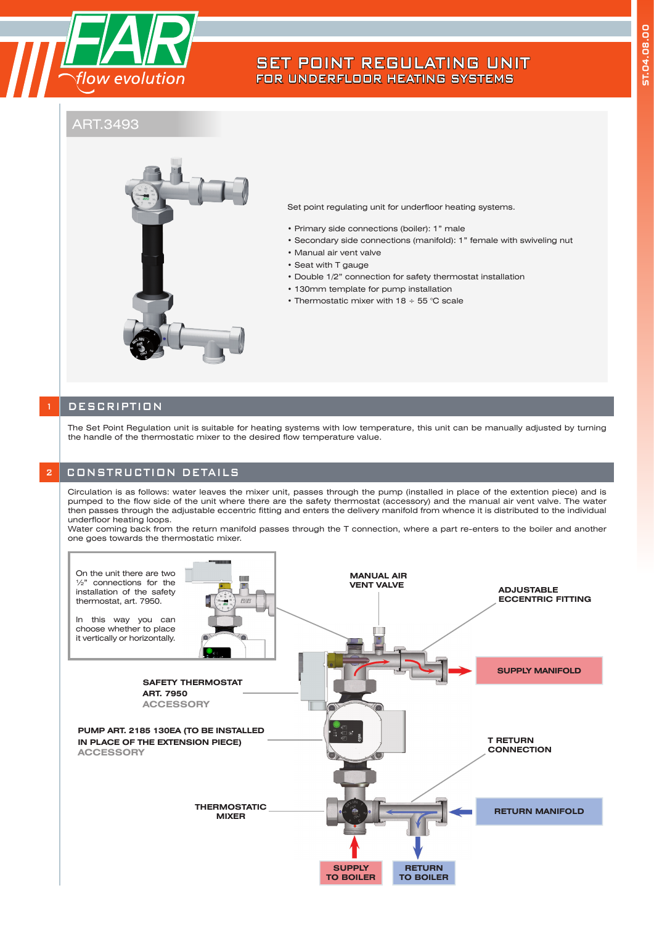

# SET POINT REGULATING UNIT FOR UNDERFLOOR HEATING SYSTEMS

# ART.3493



Set point regulating unit for underfloor heating systems.

- Primary side connections (boiler): 1" male
- Secondary side connections (manifold): 1" female with swiveling nut
- Manual air vent valve
- Seat with T gauge
- Double 1/2" connection for safety thermostat installation
- 130mm template for pump installation
- Thermostatic mixer with 18 ÷ 55 °C scale

### **DESCRIPTION**

The Set Point Regulation unit is suitable for heating systems with low temperature, this unit can be manually adjusted by turning the handle of the thermostatic mixer to the desired flow temperature value.

#### **2 CONSTRUCTION DETAILS**

Circulation is as follows: water leaves the mixer unit, passes through the pump (installed in place of the extention piece) and is pumped to the flow side of the unit where there are the safety thermostat (accessory) and the manual air vent valve. The water then passes through the adjustable eccentric fitting and enters the delivery manifold from whence it is distributed to the individual underfloor heating loops.

Water coming back from the return manifold passes through the T connection, where a part re-enters to the boiler and another one goes towards the thermostatic mixer.